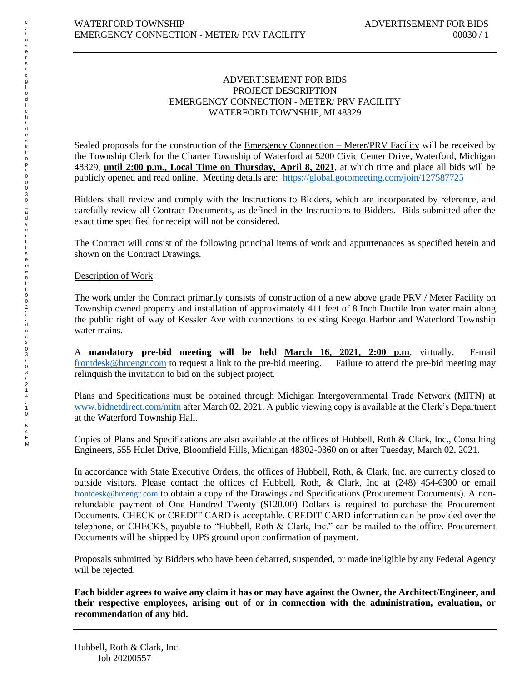## ADVERTISEMENT FOR BIDS PROJECT DESCRIPTION EMERGENCY CONNECTION - METER/ PRV FACILITY WATERFORD TOWNSHIP, MI 48329

Sealed proposals for the construction of the *Emergency Connection – Meter/PRV Facility* will be received by the Township Clerk for the Charter Township of Waterford at 5200 Civic Center Drive, Waterford, Michigan 48329, **until 2:00 p.m., Local Time on Thursday,\_April 8, 2021**, at which time and place all bids will be publicly opened and read online. Meeting details are:<https://global.gotomeeting.com/join/127587725>

Bidders shall review and comply with the Instructions to Bidders, which are incorporated by reference, and carefully review all Contract Documents, as defined in the Instructions to Bidders. Bids submitted after the exact time specified for receipt will not be considered.

The Contract will consist of the following principal items of work and appurtenances as specified herein and shown on the Contract Drawings.

## Description of Work

The work under the Contract primarily consists of construction of a new above grade PRV / Meter Facility on Township owned property and installation of approximately 411 feet of 8 Inch Ductile Iron water main along the public right of way of Kessler Ave with connections to existing Keego Harbor and Waterford Township water mains.

A **mandatory pre-bid meeting will be held March 16, 2021, 2:00 p.m**. virtually. E-mail [frontdesk@hrcengr.com](mailto:frontdesk@hrcengr.com) to request a link to the pre-bid meeting. Failure to attend the pre-bid meeting may relinquish the invitation to bid on the subject project.

Plans and Specifications must be obtained through Michigan Intergovernmental Trade Network (MITN) at [www.bidnetdirect.com/mitn](http://www.bidnetdirect.com/mitn) after March 02, 2021. A public viewing copy is available at the Clerk's Department at the Waterford Township Hall.

Copies of Plans and Specifications are also available at the offices of Hubbell, Roth & Clark, Inc., Consulting Engineers, 555 Hulet Drive, Bloomfield Hills, Michigan 48302-0360 on or after Tuesday, March 02, 2021.

In accordance with State Executive Orders, the offices of Hubbell, Roth, & Clark, Inc. are currently closed to outside visitors. Please contact the offices of Hubbell, Roth, & Clark, Inc at (248) 454-6300 or email frontdesk@hrcengr.com to obtain a copy of the Drawings and Specifications (Procurement Documents). A nonrefundable payment of One Hundred Twenty (\$120.00) Dollars is required to purchase the Procurement Documents. CHECK or CREDIT CARD is acceptable. CREDIT CARD information can be provided over the telephone, or CHECKS, payable to "Hubbell, Roth & Clark, Inc." can be mailed to the office. Procurement Documents will be shipped by UPS ground upon confirmation of payment.

Proposals submitted by Bidders who have been debarred, suspended, or made ineligible by any Federal Agency will be rejected.

**Each bidder agrees to waive any claim it has or may have against the Owner, the Architect/Engineer, and their respective employees, arising out of or in connection with the administration, evaluation, or recommendation of any bid.**

t (002) .docx03/03/214 ..1

0:54<br>PM

c : \ u s e r s \ c g l

o d i

c h \ d

e s k t

\_ a d v e r t i s e m e n